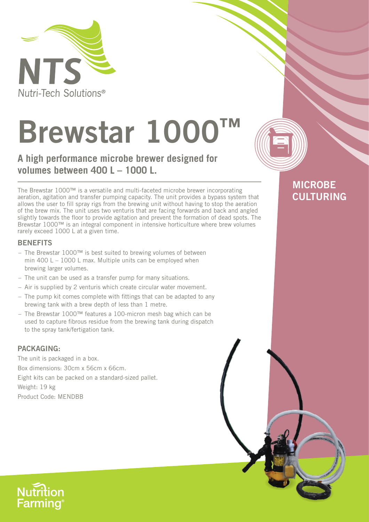

# **Brewstar 1000**

A high performance microbe brewer designed for volumes between 400 L - 1000 L.

The Brewstar 1000™ is a versatile and multi-faceted microbe brewer incorporating aeration, agitation and transfer pumping capacity. The unit provides a bypass system that allows the user to fill spray rigs from the brewing unit without having to stop the aeration of the brew mix. The unit uses two venturis that are facing forwards and back and angled slightly towards the floor to provide agitation and prevent the formation of dead spots. The Brewstar 1000™ is an integral component in intensive horticulture where brew volumes rarely exceed 1000 L at a given time.

### **BENEFITS**

- The Brewstar 1000™ is best suited to brewing volumes of between min 400 L  $-$  1000 L max. Multiple units can be employed when brewing larger volumes.
- The unit can be used as a transfer pump for many situations.
- Air is supplied by 2 venturis which create circular water movement.
- The pump kit comes complete with fittings that can be adapted to any brewing tank with a brew depth of less than 1 metre.
- The Brewstar 1000™ features a 100-micron mesh bag which can be used to capture fibrous residue from the brewing tank during dispatch to the spray tank/fertigation tank.

#### **PACKAGING:**

The unit is packaged in a box. Box dimensions: 30cm x 56cm x 66cm. Eight kits can be packed on a standard-sized pallet. Weight: 19 kg Product Code: MENDBB



### **MICROBE CULTURING**